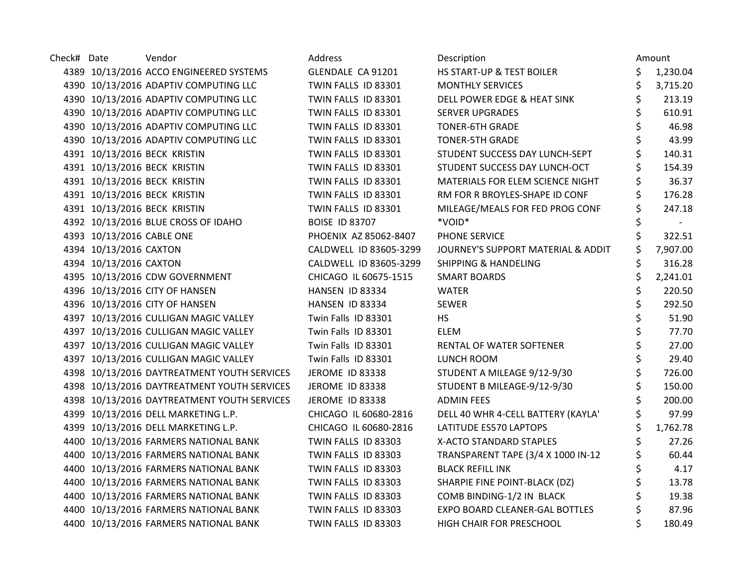| Check# Date |                           | Vendor                                      | Address                | Description                        | Amount         |
|-------------|---------------------------|---------------------------------------------|------------------------|------------------------------------|----------------|
|             |                           | 4389 10/13/2016 ACCO ENGINEERED SYSTEMS     | GLENDALE CA 91201      | HS START-UP & TEST BOILER          | \$<br>1,230.04 |
|             |                           | 4390 10/13/2016 ADAPTIV COMPUTING LLC       | TWIN FALLS ID 83301    | <b>MONTHLY SERVICES</b>            | \$<br>3,715.20 |
|             |                           | 4390 10/13/2016 ADAPTIV COMPUTING LLC       | TWIN FALLS ID 83301    | DELL POWER EDGE & HEAT SINK        | \$<br>213.19   |
|             |                           | 4390 10/13/2016 ADAPTIV COMPUTING LLC       | TWIN FALLS ID 83301    | <b>SERVER UPGRADES</b>             | 610.91         |
|             |                           | 4390 10/13/2016 ADAPTIV COMPUTING LLC       | TWIN FALLS ID 83301    | <b>TONER-6TH GRADE</b>             | 46.98          |
|             |                           | 4390 10/13/2016 ADAPTIV COMPUTING LLC       | TWIN FALLS ID 83301    | <b>TONER-5TH GRADE</b>             | 43.99          |
|             |                           | 4391 10/13/2016 BECK KRISTIN                | TWIN FALLS ID 83301    | STUDENT SUCCESS DAY LUNCH-SEPT     | \$<br>140.31   |
|             |                           | 4391 10/13/2016 BECK KRISTIN                | TWIN FALLS ID 83301    | STUDENT SUCCESS DAY LUNCH-OCT      | \$<br>154.39   |
|             |                           | 4391 10/13/2016 BECK KRISTIN                | TWIN FALLS ID 83301    | MATERIALS FOR ELEM SCIENCE NIGHT   | 36.37          |
|             |                           | 4391 10/13/2016 BECK KRISTIN                | TWIN FALLS ID 83301    | RM FOR R BROYLES-SHAPE ID CONF     | 176.28         |
|             |                           | 4391 10/13/2016 BECK KRISTIN                | TWIN FALLS ID 83301    | MILEAGE/MEALS FOR FED PROG CONF    | 247.18         |
|             |                           | 4392 10/13/2016 BLUE CROSS OF IDAHO         | <b>BOISE ID 83707</b>  | *VOID*                             | \$<br>$\sim$   |
|             | 4393 10/13/2016 CABLE ONE |                                             | PHOENIX AZ 85062-8407  | PHONE SERVICE                      | \$<br>322.51   |
|             | 4394 10/13/2016 CAXTON    |                                             | CALDWELL ID 83605-3299 | JOURNEY'S SUPPORT MATERIAL & ADDIT | \$<br>7,907.00 |
|             | 4394 10/13/2016 CAXTON    |                                             | CALDWELL ID 83605-3299 | <b>SHIPPING &amp; HANDELING</b>    | \$<br>316.28   |
|             |                           | 4395 10/13/2016 CDW GOVERNMENT              | CHICAGO IL 60675-1515  | <b>SMART BOARDS</b>                | \$<br>2,241.01 |
|             |                           | 4396 10/13/2016 CITY OF HANSEN              | <b>HANSEN ID 83334</b> | <b>WATER</b>                       | \$<br>220.50   |
|             |                           | 4396 10/13/2016 CITY OF HANSEN              | HANSEN ID 83334        | <b>SEWER</b>                       | \$<br>292.50   |
|             |                           | 4397 10/13/2016 CULLIGAN MAGIC VALLEY       | Twin Falls ID 83301    | <b>HS</b>                          | \$<br>51.90    |
|             |                           | 4397 10/13/2016 CULLIGAN MAGIC VALLEY       | Twin Falls ID 83301    | <b>ELEM</b>                        | \$<br>77.70    |
|             |                           | 4397 10/13/2016 CULLIGAN MAGIC VALLEY       | Twin Falls ID 83301    | RENTAL OF WATER SOFTENER           | \$<br>27.00    |
|             |                           | 4397 10/13/2016 CULLIGAN MAGIC VALLEY       | Twin Falls ID 83301    | LUNCH ROOM                         | \$<br>29.40    |
|             |                           | 4398 10/13/2016 DAYTREATMENT YOUTH SERVICES | JEROME ID 83338        | STUDENT A MILEAGE 9/12-9/30        | \$<br>726.00   |
|             |                           | 4398 10/13/2016 DAYTREATMENT YOUTH SERVICES | <b>JEROME ID 83338</b> | STUDENT B MILEAGE-9/12-9/30        | \$<br>150.00   |
|             |                           | 4398 10/13/2016 DAYTREATMENT YOUTH SERVICES | <b>JEROME ID 83338</b> | <b>ADMIN FEES</b>                  | 200.00         |
|             |                           | 4399 10/13/2016 DELL MARKETING L.P.         | CHICAGO IL 60680-2816  | DELL 40 WHR 4-CELL BATTERY (KAYLA' | 97.99          |
|             |                           | 4399 10/13/2016 DELL MARKETING L.P.         | CHICAGO IL 60680-2816  | LATITUDE ES570 LAPTOPS             | \$<br>1,762.78 |
|             |                           | 4400 10/13/2016 FARMERS NATIONAL BANK       | TWIN FALLS ID 83303    | X-ACTO STANDARD STAPLES            | \$<br>27.26    |
|             |                           | 4400 10/13/2016 FARMERS NATIONAL BANK       | TWIN FALLS ID 83303    | TRANSPARENT TAPE (3/4 X 1000 IN-12 | \$<br>60.44    |
|             |                           | 4400 10/13/2016 FARMERS NATIONAL BANK       | TWIN FALLS ID 83303    | <b>BLACK REFILL INK</b>            | \$<br>4.17     |
|             |                           | 4400 10/13/2016 FARMERS NATIONAL BANK       | TWIN FALLS ID 83303    | SHARPIE FINE POINT-BLACK (DZ)      | \$<br>13.78    |
|             |                           | 4400 10/13/2016 FARMERS NATIONAL BANK       | TWIN FALLS ID 83303    | COMB BINDING-1/2 IN BLACK          | 19.38          |
|             |                           | 4400 10/13/2016 FARMERS NATIONAL BANK       | TWIN FALLS ID 83303    | EXPO BOARD CLEANER-GAL BOTTLES     | \$<br>87.96    |
|             |                           | 4400 10/13/2016 FARMERS NATIONAL BANK       | TWIN FALLS ID 83303    | HIGH CHAIR FOR PRESCHOOL           | \$<br>180.49   |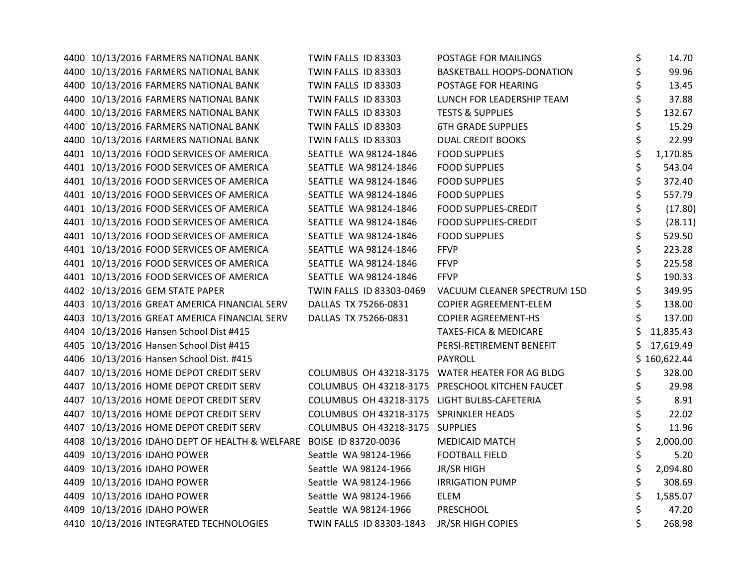| 4400 10/13/2016 FARMERS NATIONAL BANK                              | TWIN FALLS ID 83303                          | POSTAGE FOR MAILINGS                            | \$<br>14.70    |
|--------------------------------------------------------------------|----------------------------------------------|-------------------------------------------------|----------------|
| 4400 10/13/2016 FARMERS NATIONAL BANK                              | TWIN FALLS ID 83303                          | <b>BASKETBALL HOOPS-DONATION</b>                | \$<br>99.96    |
| 4400 10/13/2016 FARMERS NATIONAL BANK                              | TWIN FALLS ID 83303                          | POSTAGE FOR HEARING                             | \$<br>13.45    |
| 4400 10/13/2016 FARMERS NATIONAL BANK                              | TWIN FALLS ID 83303                          | LUNCH FOR LEADERSHIP TEAM                       | \$<br>37.88    |
| 4400 10/13/2016 FARMERS NATIONAL BANK                              | TWIN FALLS ID 83303                          | <b>TESTS &amp; SUPPLIES</b>                     | 132.67         |
| 4400 10/13/2016 FARMERS NATIONAL BANK                              | TWIN FALLS ID 83303                          | <b>6TH GRADE SUPPLIES</b>                       | \$<br>15.29    |
| 4400 10/13/2016 FARMERS NATIONAL BANK                              | TWIN FALLS ID 83303                          | <b>DUAL CREDIT BOOKS</b>                        | \$<br>22.99    |
| 4401 10/13/2016 FOOD SERVICES OF AMERICA                           | SEATTLE WA 98124-1846                        | <b>FOOD SUPPLIES</b>                            | \$<br>1,170.85 |
| 4401 10/13/2016 FOOD SERVICES OF AMERICA                           | SEATTLE WA 98124-1846                        | <b>FOOD SUPPLIES</b>                            | \$<br>543.04   |
| 4401 10/13/2016 FOOD SERVICES OF AMERICA                           | SEATTLE WA 98124-1846                        | <b>FOOD SUPPLIES</b>                            | 372.40         |
| 4401 10/13/2016 FOOD SERVICES OF AMERICA                           | SEATTLE WA 98124-1846                        | <b>FOOD SUPPLIES</b>                            | \$<br>557.79   |
| 4401 10/13/2016 FOOD SERVICES OF AMERICA                           | SEATTLE WA 98124-1846                        | <b>FOOD SUPPLIES-CREDIT</b>                     | (17.80)        |
| 4401 10/13/2016 FOOD SERVICES OF AMERICA                           | SEATTLE WA 98124-1846                        | <b>FOOD SUPPLIES-CREDIT</b>                     | \$<br>(28.11)  |
| 4401 10/13/2016 FOOD SERVICES OF AMERICA                           | SEATTLE WA 98124-1846                        | <b>FOOD SUPPLIES</b>                            | \$<br>529.50   |
| 4401 10/13/2016 FOOD SERVICES OF AMERICA                           | SEATTLE WA 98124-1846                        | <b>FFVP</b>                                     | \$<br>223.28   |
| 4401 10/13/2016 FOOD SERVICES OF AMERICA                           | SEATTLE WA 98124-1846                        | <b>FFVP</b>                                     | \$<br>225.58   |
| 4401 10/13/2016 FOOD SERVICES OF AMERICA                           | SEATTLE WA 98124-1846                        | <b>FFVP</b>                                     | 190.33         |
| 4402 10/13/2016 GEM STATE PAPER                                    | TWIN FALLS ID 83303-0469                     | VACUUM CLEANER SPECTRUM 15D                     | \$<br>349.95   |
| 4403 10/13/2016 GREAT AMERICA FINANCIAL SERV                       | DALLAS TX 75266-0831                         | COPIER AGREEMENT-ELEM                           | \$<br>138.00   |
| 4403 10/13/2016 GREAT AMERICA FINANCIAL SERV                       | DALLAS TX 75266-0831                         | <b>COPIER AGREEMENT-HS</b>                      | \$<br>137.00   |
| 4404 10/13/2016 Hansen School Dist #415                            |                                              | <b>TAXES-FICA &amp; MEDICARE</b>                | 11,835.43      |
| 4405 10/13/2016 Hansen School Dist #415                            |                                              | PERSI-RETIREMENT BENEFIT                        | 17,619.49      |
| 4406 10/13/2016 Hansen School Dist. #415                           |                                              | PAYROLL                                         | \$160,622.44   |
| 4407 10/13/2016 HOME DEPOT CREDIT SERV                             |                                              | COLUMBUS OH 43218-3175 WATER HEATER FOR AG BLDG | 328.00         |
| 4407 10/13/2016 HOME DEPOT CREDIT SERV                             |                                              | COLUMBUS OH 43218-3175 PRESCHOOL KITCHEN FAUCET | \$<br>29.98    |
| 4407 10/13/2016 HOME DEPOT CREDIT SERV                             | COLUMBUS OH 43218-3175 LIGHT BULBS-CAFETERIA |                                                 | \$<br>8.91     |
| 4407 10/13/2016 HOME DEPOT CREDIT SERV                             | COLUMBUS OH 43218-3175 SPRINKLER HEADS       |                                                 | \$<br>22.02    |
| 4407 10/13/2016 HOME DEPOT CREDIT SERV                             | COLUMBUS OH 43218-3175 SUPPLIES              |                                                 | \$<br>11.96    |
| 4408 10/13/2016 IDAHO DEPT OF HEALTH & WELFARE BOISE ID 83720-0036 |                                              | <b>MEDICAID MATCH</b>                           | \$<br>2,000.00 |
| 4409 10/13/2016 IDAHO POWER                                        | Seattle WA 98124-1966                        | <b>FOOTBALL FIELD</b>                           | \$<br>5.20     |
| 4409 10/13/2016 IDAHO POWER                                        | Seattle WA 98124-1966                        | JR/SR HIGH                                      | \$<br>2,094.80 |
| 4409 10/13/2016 IDAHO POWER                                        | Seattle WA 98124-1966                        | <b>IRRIGATION PUMP</b>                          | \$<br>308.69   |
| 4409 10/13/2016 IDAHO POWER                                        | Seattle WA 98124-1966                        | <b>ELEM</b>                                     | \$<br>1,585.07 |
| 4409 10/13/2016 IDAHO POWER                                        | Seattle WA 98124-1966                        | PRESCHOOL                                       | \$<br>47.20    |
| 4410 10/13/2016 INTEGRATED TECHNOLOGIES                            | TWIN FALLS ID 83303-1843                     | <b>JR/SR HIGH COPIES</b>                        | \$<br>268.98   |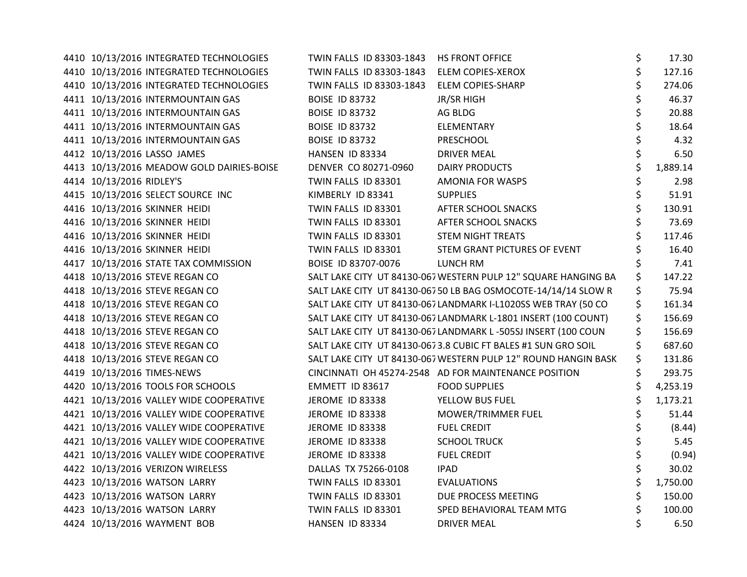| 4410 10/13/2016 INTEGRATED TECHNOLOGIES   | TWIN FALLS ID 83303-1843 HS FRONT OFFICE |                                                                | \$ | 17.30    |
|-------------------------------------------|------------------------------------------|----------------------------------------------------------------|----|----------|
| 4410 10/13/2016 INTEGRATED TECHNOLOGIES   | TWIN FALLS ID 83303-1843                 | ELEM COPIES-XEROX                                              | \$ | 127.16   |
| 4410 10/13/2016 INTEGRATED TECHNOLOGIES   | TWIN FALLS ID 83303-1843                 | <b>ELEM COPIES-SHARP</b>                                       | \$ | 274.06   |
| 4411 10/13/2016 INTERMOUNTAIN GAS         | <b>BOISE ID 83732</b>                    | JR/SR HIGH                                                     | \$ | 46.37    |
| 4411 10/13/2016 INTERMOUNTAIN GAS         | <b>BOISE ID 83732</b>                    | AG BLDG                                                        | \$ | 20.88    |
| 4411 10/13/2016 INTERMOUNTAIN GAS         | <b>BOISE ID 83732</b>                    | ELEMENTARY                                                     | \$ | 18.64    |
| 4411 10/13/2016 INTERMOUNTAIN GAS         | <b>BOISE ID 83732</b>                    | PRESCHOOL                                                      |    | 4.32     |
| 4412 10/13/2016 LASSO JAMES               | HANSEN ID 83334                          | <b>DRIVER MEAL</b>                                             | \$ | 6.50     |
| 4413 10/13/2016 MEADOW GOLD DAIRIES-BOISE | DENVER CO 80271-0960                     | <b>DAIRY PRODUCTS</b>                                          | \$ | 1,889.14 |
| 4414 10/13/2016 RIDLEY'S                  | TWIN FALLS ID 83301                      | <b>AMONIA FOR WASPS</b>                                        | \$ | 2.98     |
| 4415 10/13/2016 SELECT SOURCE INC         | KIMBERLY ID 83341                        | <b>SUPPLIES</b>                                                | \$ | 51.91    |
| 4416 10/13/2016 SKINNER HEIDI             | TWIN FALLS ID 83301                      | AFTER SCHOOL SNACKS                                            | \$ | 130.91   |
| 4416 10/13/2016 SKINNER HEIDI             | TWIN FALLS ID 83301                      | AFTER SCHOOL SNACKS                                            |    | 73.69    |
| 4416 10/13/2016 SKINNER HEIDI             | TWIN FALLS ID 83301                      | <b>STEM NIGHT TREATS</b>                                       |    | 117.46   |
| 4416 10/13/2016 SKINNER HEIDI             | TWIN FALLS ID 83301                      | STEM GRANT PICTURES OF EVENT                                   |    | 16.40    |
| 4417 10/13/2016 STATE TAX COMMISSION      | BOISE ID 83707-0076                      | LUNCH RM                                                       | \$ | 7.41     |
| 4418 10/13/2016 STEVE REGAN CO            |                                          | SALT LAKE CITY UT 84130-067 WESTERN PULP 12" SQUARE HANGING BA | \$ | 147.22   |
| 4418 10/13/2016 STEVE REGAN CO            |                                          | SALT LAKE CITY UT 84130-06750 LB BAG OSMOCOTE-14/14/14 SLOW R  | \$ | 75.94    |
| 4418 10/13/2016 STEVE REGAN CO            |                                          | SALT LAKE CITY UT 84130-067 LANDMARK I-L1020SS WEB TRAY (50 CO | \$ | 161.34   |
| 4418 10/13/2016 STEVE REGAN CO            |                                          | SALT LAKE CITY UT 84130-067 LANDMARK L-1801 INSERT (100 COUNT) | \$ | 156.69   |
| 4418 10/13/2016 STEVE REGAN CO            |                                          | SALT LAKE CITY UT 84130-067 LANDMARK L-505SJ INSERT (100 COUN  |    | 156.69   |
| 4418 10/13/2016 STEVE REGAN CO            |                                          | SALT LAKE CITY UT 84130-0673.8 CUBIC FT BALES #1 SUN GRO SOIL  |    | 687.60   |
| 4418 10/13/2016 STEVE REGAN CO            |                                          | SALT LAKE CITY UT 84130-067 WESTERN PULP 12" ROUND HANGIN BASK | \$ | 131.86   |
| 4419 10/13/2016 TIMES-NEWS                |                                          | CINCINNATI OH 45274-2548 AD FOR MAINTENANCE POSITION           |    | 293.75   |
| 4420 10/13/2016 TOOLS FOR SCHOOLS         | EMMETT ID 83617                          | <b>FOOD SUPPLIES</b>                                           |    | 4,253.19 |
| 4421 10/13/2016 VALLEY WIDE COOPERATIVE   | <b>JEROME ID 83338</b>                   | YELLOW BUS FUEL                                                |    | 1,173.21 |
| 4421 10/13/2016 VALLEY WIDE COOPERATIVE   | <b>JEROME ID 83338</b>                   | MOWER/TRIMMER FUEL                                             |    | 51.44    |
| 4421 10/13/2016 VALLEY WIDE COOPERATIVE   | <b>JEROME ID 83338</b>                   | <b>FUEL CREDIT</b>                                             | \$ | (8.44)   |
| 4421 10/13/2016 VALLEY WIDE COOPERATIVE   | <b>JEROME ID 83338</b>                   | <b>SCHOOL TRUCK</b>                                            | \$ | 5.45     |
| 4421 10/13/2016 VALLEY WIDE COOPERATIVE   | <b>JEROME ID 83338</b>                   | <b>FUEL CREDIT</b>                                             | \$ | (0.94)   |
| 4422 10/13/2016 VERIZON WIRELESS          | DALLAS TX 75266-0108                     | <b>IPAD</b>                                                    | \$ | 30.02    |
| 4423 10/13/2016 WATSON LARRY              | TWIN FALLS ID 83301                      | <b>EVALUATIONS</b>                                             | \$ | 1,750.00 |
| 4423 10/13/2016 WATSON LARRY              | TWIN FALLS ID 83301                      | DUE PROCESS MEETING                                            |    | 150.00   |
| 4423 10/13/2016 WATSON LARRY              | TWIN FALLS ID 83301                      | SPED BEHAVIORAL TEAM MTG                                       | \$ | 100.00   |
| 4424 10/13/2016 WAYMENT BOB               | HANSEN ID 83334                          | <b>DRIVER MEAL</b>                                             | Ś  | 6.50     |